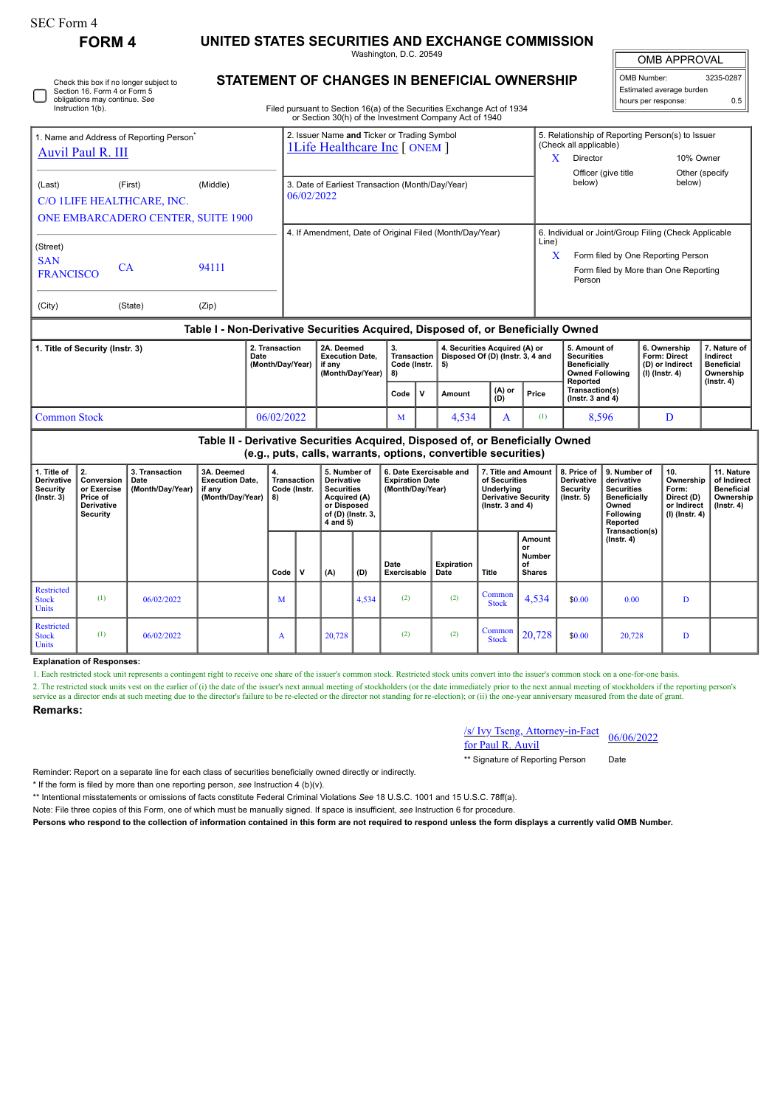| SEC Form 4    |                           |
|---------------|---------------------------|
| <b>FORM 4</b> | <b>UNITED STATES SECU</b> |

**FORM 4 UNITED STATES SECURITIES AND EXCHANGE COMMISSION** Washington, D.C. 20549

OMB APPROVAL

| OMB Number:              | 3235-0287 |  |  |  |  |  |  |  |
|--------------------------|-----------|--|--|--|--|--|--|--|
| Estimated average burden |           |  |  |  |  |  |  |  |
| hours per response:      | 0.5       |  |  |  |  |  |  |  |

**11. Nature**

| Check this box if no longer subject to<br>Section 16. Form 4 or Form 5<br>obligations may continue. See<br>Instruction 1(b). | <b>STATEMENT</b><br>Filed p |
|------------------------------------------------------------------------------------------------------------------------------|-----------------------------|
|                                                                                                                              |                             |

# **STATEMENT OF CHANGES IN BENEFICIAL OWNERSHIP**

ursuant to Section 16(a) of the Securities Exchange Act of 1934 or Section 30(h) of the Investment Company Act of 1940

| 1. Name and Address of Reporting Person <sup>®</sup>                             |         |                                                | 2. Issuer Name and Ticker or Trading Symbol<br><b>1Life Healthcare Inc [ ONEM ]</b> |            | 5. Relationship of Reporting Person(s) to Issuer<br>(Check all applicable)                                                                     |                           |  |  |  |  |
|----------------------------------------------------------------------------------|---------|------------------------------------------------|-------------------------------------------------------------------------------------|------------|------------------------------------------------------------------------------------------------------------------------------------------------|---------------------------|--|--|--|--|
| <b>Auvil Paul R. III</b>                                                         |         |                                                |                                                                                     | x          | <b>Director</b>                                                                                                                                | 10% Owner                 |  |  |  |  |
| (Last)<br>C/O 1LIFE HEALTHCARE, INC.                                             | (First) | (Middle)<br>ONE EMBARCADERO CENTER, SUITE 1900 | 3. Date of Earliest Transaction (Month/Day/Year)<br>06/02/2022                      |            | Officer (give title<br>below)                                                                                                                  | Other (specify)<br>below) |  |  |  |  |
| (Street)<br><b>SAN</b><br>94111<br>CA<br><b>FRANCISCO</b>                        |         |                                                | 4. If Amendment, Date of Original Filed (Month/Day/Year)                            | Line)<br>X | 6. Individual or Joint/Group Filing (Check Applicable<br>Form filed by One Reporting Person<br>Form filed by More than One Reporting<br>Person |                           |  |  |  |  |
| (City)                                                                           | (State) | (Zip)                                          |                                                                                     |            |                                                                                                                                                |                           |  |  |  |  |
| Table I - Non-Derivative Securities Acquired, Disposed of, or Beneficially Owned |         |                                                |                                                                                     |            |                                                                                                                                                |                           |  |  |  |  |

## **Table I - Non-Derivative Securities Acquired, Disposed of, or Beneficially Owned**

| 1. Title of Security (Instr. 3) | 2. Transaction<br>2A. Deemed<br><b>Execution Date.</b><br>Date<br>(Month/Dav/Year)<br>if anv<br>(Month/Dav/Year) |  | Code (Instr.   5)<br>1 R) | 4. Securities Acquired (A) or<br>Transaction   Disposed Of (D) (Instr. 3, 4 and |                    |       | 5. Amount of<br><b>Securities</b><br><b>Beneficially</b><br><b>Owned Following</b> | 6. Ownership<br>Form: Direct<br>(D) or Indirect<br>(I) (Instr. 4) | . Nature of '<br>Indirect<br><b>Beneficial</b><br>Ownership |
|---------------------------------|------------------------------------------------------------------------------------------------------------------|--|---------------------------|---------------------------------------------------------------------------------|--------------------|-------|------------------------------------------------------------------------------------|-------------------------------------------------------------------|-------------------------------------------------------------|
|                                 |                                                                                                                  |  | Code V                    | Amount                                                                          | $ (A)$ or<br>$ D)$ | Price | Reported<br>Transaction(s)<br>$($ lnstr. 3 and 4 $)$                               |                                                                   | (Instr. 4)                                                  |
| Common Stock                    | 06/02/2022                                                                                                       |  | M                         | 4.534                                                                           |                    |       | 8,596                                                                              | D                                                                 |                                                             |

#### **Table II - Derivative Securities Acquired, Disposed of, or Beneficially Owned (e.g., puts, calls, warrants, options, convertible securities) 3. Transaction Date 3A. Deemed Execution Date, 4. Transaction 5. Number of 6. Date Exercisable and 7. Title and Amount 8. Price of 9. Number of 10. Derivative Expiration Date of Securities Derivative derivative**

| Derivative<br>Security<br>$($ lnstr. 3 $)$ | Conversion   Date<br>or Exercise<br>Price of<br><b>Derivative</b><br>Security | (Month/Day/Year) | <b>Execution Date,</b><br>if any<br>(Month/Day/Year) | Transaction<br>Code (Instr.<br>8) |   | Derivative<br><b>Securities</b><br>Acquired (A)<br>or Disposed<br>of (D) (Instr. 3,<br>4 and 5) |       | <b>Expiration Date</b><br>(Month/Day/Year) |                    | of Securities<br>Underlying<br><b>Derivative Security</b><br>$($ lnstr. 3 and 4 $)$ |                                               | Derivative<br>Security<br>$($ Instr. 5 $)$ | derivative<br><b>Securities</b><br><b>Beneficially</b><br>Owned<br>Following<br>Reported | Ownership<br>Form:<br>Direct (D)<br>or Indirect<br>$(I)$ (Instr. 4) | of Indirect<br><b>Beneficial</b><br>Ownership<br>$($ lnstr. 4 $)$ |
|--------------------------------------------|-------------------------------------------------------------------------------|------------------|------------------------------------------------------|-----------------------------------|---|-------------------------------------------------------------------------------------------------|-------|--------------------------------------------|--------------------|-------------------------------------------------------------------------------------|-----------------------------------------------|--------------------------------------------|------------------------------------------------------------------------------------------|---------------------------------------------------------------------|-------------------------------------------------------------------|
|                                            |                                                                               |                  |                                                      | Code                              | v | (A)                                                                                             | (D)   | Date<br>Exercisable                        | Expiration<br>Date | Title                                                                               | Amount<br>or<br>Number<br>οf<br><b>Shares</b> |                                            | Transaction(s)<br>$($ lnstr. 4 $)$                                                       |                                                                     |                                                                   |
| Restricted<br><b>Stock</b><br><b>Units</b> | (1)                                                                           | 06/02/2022       |                                                      | М                                 |   |                                                                                                 | 4,534 | (2)                                        | (2)                | Common<br><b>Stock</b>                                                              | 4,534                                         | \$0.00                                     | 0.00                                                                                     | D                                                                   |                                                                   |
| Restricted<br><b>Stock</b><br><b>Units</b> | (1)                                                                           | 06/02/2022       |                                                      | A                                 |   | 20,728                                                                                          |       | (2)                                        | (2)                | Common<br><b>Stock</b>                                                              | 20,728                                        | \$0.00                                     | 20,728                                                                                   | D                                                                   |                                                                   |

### **Explanation of Responses:**

1. Each restricted stock unit represents a contingent right to receive one share of the issuer's common stock. Restricted stock units convert into the issuer's common stock on a one-for-one basis.

2. The restricted stock units vest on the earlier of (i) the date of the issuer's next annual meeting of stockholders (or the date immediately prior to the next annual meeting of stockholders if the reporting person's service as a director ends at such meeting due to the director's failure to be re-elected or the director not standing for re-election); or (ii) the one-year anniversary measured from the date of grant

### **Remarks:**

**1. Title of 2.**

S/ Ivy Tseng, Attorney-in-Fact<br>for Paul R. Auvil 66/06/2022 \*\* Signature of Reporting Person Date

Reminder: Report on a separate line for each class of securities beneficially owned directly or indirectly.

\* If the form is filed by more than one reporting person, *see* Instruction 4 (b)(v).

\*\* Intentional misstatements or omissions of facts constitute Federal Criminal Violations *See* 18 U.S.C. 1001 and 15 U.S.C. 78ff(a).

Note: File three copies of this Form, one of which must be manually signed. If space is insufficient, *see* Instruction 6 for procedure.

**Persons who respond to the collection of information contained in this form are not required to respond unless the form displays a currently valid OMB Number.**